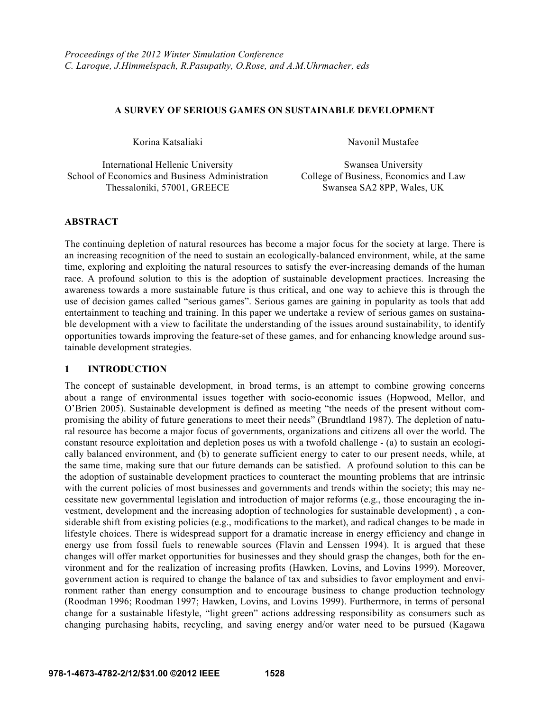## **A SURVEY OF SERIOUS GAMES ON SUSTAINABLE DEVELOPMENT**

International Hellenic University Swansea University School of Economics and Business Administration College of Business, Economics and Law Thessaloniki, 57001, GREECE Swansea SA2 8PP, Wales, UK

Korina Katsaliaki Navonil Mustafee

## **ABSTRACT**

The continuing depletion of natural resources has become a major focus for the society at large. There is an increasing recognition of the need to sustain an ecologically-balanced environment, while, at the same time, exploring and exploiting the natural resources to satisfy the ever-increasing demands of the human race. A profound solution to this is the adoption of sustainable development practices. Increasing the awareness towards a more sustainable future is thus critical, and one way to achieve this is through the use of decision games called "serious games". Serious games are gaining in popularity as tools that add entertainment to teaching and training. In this paper we undertake a review of serious games on sustainable development with a view to facilitate the understanding of the issues around sustainability, to identify opportunities towards improving the feature-set of these games, and for enhancing knowledge around sustainable development strategies.

#### **1 INTRODUCTION**

The concept of sustainable development, in broad terms, is an attempt to combine growing concerns about a range of environmental issues together with socio-economic issues (Hopwood, Mellor, and O'Brien 2005). Sustainable development is defined as meeting "the needs of the present without compromising the ability of future generations to meet their needs" (Brundtland 1987). The depletion of natural resource has become a major focus of governments, organizations and citizens all over the world. The constant resource exploitation and depletion poses us with a twofold challenge - (a) to sustain an ecologically balanced environment, and (b) to generate sufficient energy to cater to our present needs, while, at the same time, making sure that our future demands can be satisfied. A profound solution to this can be the adoption of sustainable development practices to counteract the mounting problems that are intrinsic with the current policies of most businesses and governments and trends within the society; this may necessitate new governmental legislation and introduction of major reforms (e.g., those encouraging the investment, development and the increasing adoption of technologies for sustainable development) , a considerable shift from existing policies (e.g., modifications to the market), and radical changes to be made in lifestyle choices. There is widespread support for a dramatic increase in energy efficiency and change in energy use from fossil fuels to renewable sources (Flavin and Lenssen 1994). It is argued that these changes will offer market opportunities for businesses and they should grasp the changes, both for the environment and for the realization of increasing profits (Hawken, Lovins, and Lovins 1999). Moreover, government action is required to change the balance of tax and subsidies to favor employment and environment rather than energy consumption and to encourage business to change production technology (Roodman 1996; Roodman 1997; Hawken, Lovins, and Lovins 1999). Furthermore, in terms of personal change for a sustainable lifestyle, "light green" actions addressing responsibility as consumers such as changing purchasing habits, recycling, and saving energy and/or water need to be pursued (Kagawa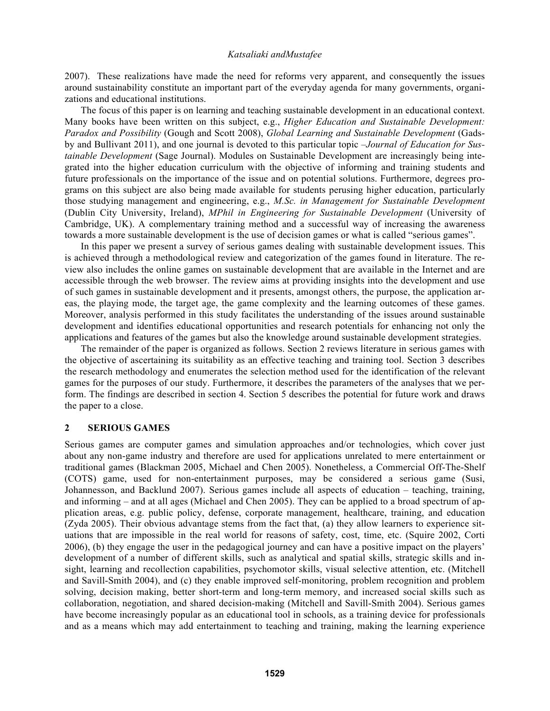2007). These realizations have made the need for reforms very apparent, and consequently the issues around sustainability constitute an important part of the everyday agenda for many governments, organizations and educational institutions.

 The focus of this paper is on learning and teaching sustainable development in an educational context. Many books have been written on this subject, e.g., *Higher Education and Sustainable Development: Paradox and Possibility* (Gough and Scott 2008), *Global Learning and Sustainable Development* (Gadsby and Bullivant 2011), and one journal is devoted to this particular topic –*Journal of Education for Sustainable Development* (Sage Journal). Modules on Sustainable Development are increasingly being integrated into the higher education curriculum with the objective of informing and training students and future professionals on the importance of the issue and on potential solutions. Furthermore, degrees programs on this subject are also being made available for students perusing higher education, particularly those studying management and engineering, e.g., *M.Sc. in Management for Sustainable Development* (Dublin City University, Ireland), *MPhil in Engineering for Sustainable Development* (University of Cambridge, UK). A complementary training method and a successful way of increasing the awareness towards a more sustainable development is the use of decision games or what is called "serious games".

 In this paper we present a survey of serious games dealing with sustainable development issues. This is achieved through a methodological review and categorization of the games found in literature. The review also includes the online games on sustainable development that are available in the Internet and are accessible through the web browser. The review aims at providing insights into the development and use of such games in sustainable development and it presents, amongst others, the purpose, the application areas, the playing mode, the target age, the game complexity and the learning outcomes of these games. Moreover, analysis performed in this study facilitates the understanding of the issues around sustainable development and identifies educational opportunities and research potentials for enhancing not only the applications and features of the games but also the knowledge around sustainable development strategies.

 The remainder of the paper is organized as follows. Section 2 reviews literature in serious games with the objective of ascertaining its suitability as an effective teaching and training tool. Section 3 describes the research methodology and enumerates the selection method used for the identification of the relevant games for the purposes of our study. Furthermore, it describes the parameters of the analyses that we perform. The findings are described in section 4. Section 5 describes the potential for future work and draws the paper to a close.

### **2 SERIOUS GAMES**

Serious games are computer games and simulation approaches and/or technologies, which cover just about any non-game industry and therefore are used for applications unrelated to mere entertainment or traditional games (Blackman 2005, Michael and Chen 2005). Nonetheless, a Commercial Off-The-Shelf (COTS) game, used for non-entertainment purposes, may be considered a serious game (Susi, Johannesson, and Backlund 2007). Serious games include all aspects of education – teaching, training, and informing – and at all ages (Michael and Chen 2005). They can be applied to a broad spectrum of application areas, e.g. public policy, defense, corporate management, healthcare, training, and education (Zyda 2005). Their obvious advantage stems from the fact that, (a) they allow learners to experience situations that are impossible in the real world for reasons of safety, cost, time, etc. (Squire 2002, Corti 2006), (b) they engage the user in the pedagogical journey and can have a positive impact on the players' development of a number of different skills, such as analytical and spatial skills, strategic skills and insight, learning and recollection capabilities, psychomotor skills, visual selective attention, etc. (Mitchell and Savill-Smith 2004), and (c) they enable improved self-monitoring, problem recognition and problem solving, decision making, better short-term and long-term memory, and increased social skills such as collaboration, negotiation, and shared decision-making (Mitchell and Savill-Smith 2004). Serious games have become increasingly popular as an educational tool in schools, as a training device for professionals and as a means which may add entertainment to teaching and training, making the learning experience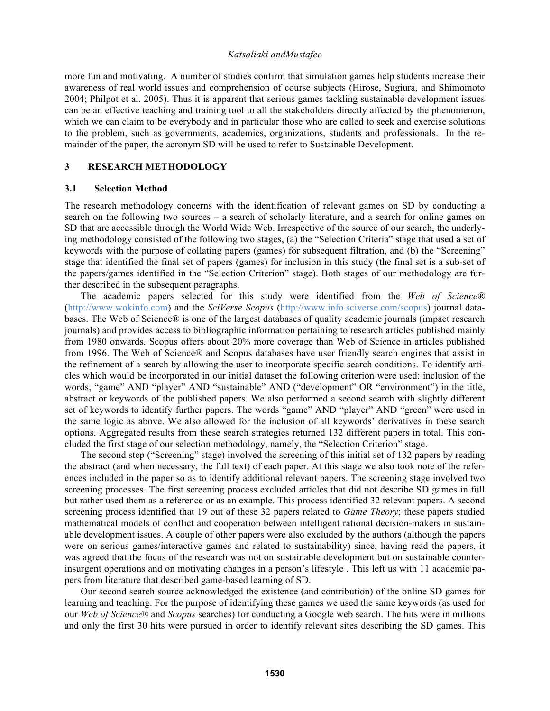more fun and motivating. A number of studies confirm that simulation games help students increase their awareness of real world issues and comprehension of course subjects (Hirose, Sugiura, and Shimomoto 2004; Philpot et al. 2005). Thus it is apparent that serious games tackling sustainable development issues can be an effective teaching and training tool to all the stakeholders directly affected by the phenomenon, which we can claim to be everybody and in particular those who are called to seek and exercise solutions to the problem, such as governments, academics, organizations, students and professionals. In the remainder of the paper, the acronym SD will be used to refer to Sustainable Development.

#### **3 RESEARCH METHODOLOGY**

#### **3.1 Selection Method**

The research methodology concerns with the identification of relevant games on SD by conducting a search on the following two sources – a search of scholarly literature, and a search for online games on SD that are accessible through the World Wide Web. Irrespective of the source of our search, the underlying methodology consisted of the following two stages, (a) the "Selection Criteria" stage that used a set of keywords with the purpose of collating papers (games) for subsequent filtration, and (b) the "Screening" stage that identified the final set of papers (games) for inclusion in this study (the final set is a sub-set of the papers/games identified in the "Selection Criterion" stage). Both stages of our methodology are further described in the subsequent paragraphs.

The academic papers selected for this study were identified from the *Web of Science®* (http://www.wokinfo.com) and the *SciVerse Scopus* (http://www.info.sciverse.com/scopus) journal databases. The Web of Science® is one of the largest databases of quality academic journals (impact research journals) and provides access to bibliographic information pertaining to research articles published mainly from 1980 onwards. Scopus offers about 20% more coverage than Web of Science in articles published from 1996. The Web of Science® and Scopus databases have user friendly search engines that assist in the refinement of a search by allowing the user to incorporate specific search conditions. To identify articles which would be incorporated in our initial dataset the following criterion were used: inclusion of the words, "game" AND "player" AND "sustainable" AND ("development" OR "environment") in the title, abstract or keywords of the published papers. We also performed a second search with slightly different set of keywords to identify further papers. The words "game" AND "player" AND "green" were used in the same logic as above. We also allowed for the inclusion of all keywords' derivatives in these search options. Aggregated results from these search strategies returned 132 different papers in total. This concluded the first stage of our selection methodology, namely, the "Selection Criterion" stage.

The second step ("Screening" stage) involved the screening of this initial set of 132 papers by reading the abstract (and when necessary, the full text) of each paper. At this stage we also took note of the references included in the paper so as to identify additional relevant papers. The screening stage involved two screening processes. The first screening process excluded articles that did not describe SD games in full but rather used them as a reference or as an example. This process identified 32 relevant papers. A second screening process identified that 19 out of these 32 papers related to *Game Theory*; these papers studied mathematical models of conflict and cooperation between intelligent rational decision-makers in sustainable development issues. A couple of other papers were also excluded by the authors (although the papers were on serious games/interactive games and related to sustainability) since, having read the papers, it was agreed that the focus of the research was not on sustainable development but on sustainable counterinsurgent operations and on motivating changes in a person's lifestyle . This left us with 11 academic papers from literature that described game-based learning of SD.

Our second search source acknowledged the existence (and contribution) of the online SD games for learning and teaching. For the purpose of identifying these games we used the same keywords (as used for our *Web of Science®* and *Scopus* searches) for conducting a Google web search. The hits were in millions and only the first 30 hits were pursued in order to identify relevant sites describing the SD games. This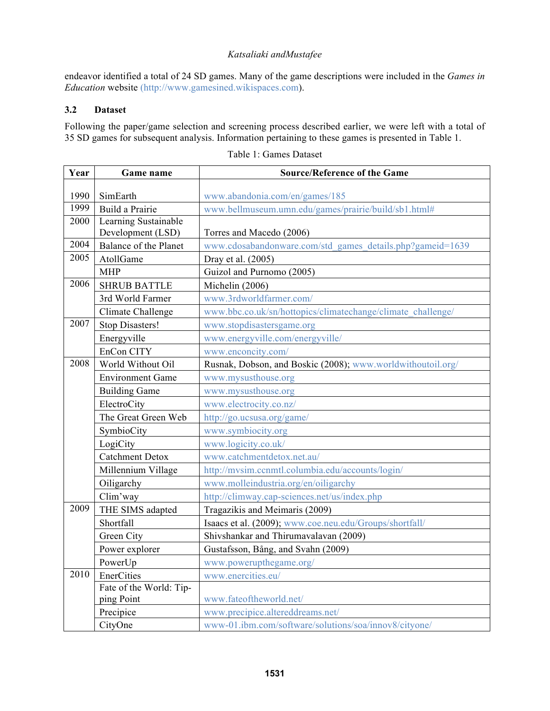endeavor identified a total of 24 SD games. Many of the game descriptions were included in the *Games in Education* website (http://www.gamesined.wikispaces.com).

# **3.2 Dataset**

Following the paper/game selection and screening process described earlier, we were left with a total of 35 SD games for subsequent analysis. Information pertaining to these games is presented in Table 1.

| Year | Game name                                 | <b>Source/Reference of the Game</b>                         |  |  |
|------|-------------------------------------------|-------------------------------------------------------------|--|--|
|      |                                           |                                                             |  |  |
| 1990 | SimEarth                                  | www.abandonia.com/en/games/185                              |  |  |
| 1999 | Build a Prairie                           | www.bellmuseum.umn.edu/games/prairie/build/sb1.html#        |  |  |
| 2000 | Learning Sustainable<br>Development (LSD) | Torres and Macedo (2006)                                    |  |  |
| 2004 | Balance of the Planet                     | www.cdosabandonware.com/std_games_details.php?gameid=1639   |  |  |
| 2005 | AtollGame                                 | Dray et al. (2005)                                          |  |  |
|      | <b>MHP</b>                                | Guizol and Purnomo (2005)                                   |  |  |
| 2006 | <b>SHRUB BATTLE</b>                       | Michelin (2006)                                             |  |  |
|      | 3rd World Farmer                          | www.3rdworldfarmer.com/                                     |  |  |
|      | Climate Challenge                         | www.bbc.co.uk/sn/hottopics/climatechange/climate_challenge/ |  |  |
| 2007 | Stop Disasters!                           | www.stopdisastersgame.org                                   |  |  |
|      | Energyville                               | www.energyville.com/energyville/                            |  |  |
|      | EnCon CITY                                | www.enconcity.com/                                          |  |  |
| 2008 | World Without Oil                         | Rusnak, Dobson, and Boskic (2008); www.worldwithoutoil.org/ |  |  |
|      | <b>Environment Game</b>                   | www.mysusthouse.org                                         |  |  |
|      | <b>Building Game</b>                      | www.mysusthouse.org                                         |  |  |
|      | ElectroCity                               | www.electrocity.co.nz/                                      |  |  |
|      | The Great Green Web                       | http://go.ucsusa.org/game/                                  |  |  |
|      | SymbioCity                                | www.symbiocity.org                                          |  |  |
|      | LogiCity                                  | www.logicity.co.uk/                                         |  |  |
|      | <b>Catchment Detox</b>                    | www.catchmentdetox.net.au/                                  |  |  |
|      | Millennium Village                        | http://mvsim.ccnmtl.columbia.edu/accounts/login/            |  |  |
|      | Oiligarchy                                | www.molleindustria.org/en/oiligarchy                        |  |  |
|      | Clim'way                                  | http://climway.cap-sciences.net/us/index.php                |  |  |
| 2009 | THE SIMS adapted                          | Tragazikis and Meimaris (2009)                              |  |  |
|      | Shortfall                                 | Isaacs et al. (2009); www.coe.neu.edu/Groups/shortfall/     |  |  |
|      | Green City                                | Shivshankar and Thirumavalavan (2009)                       |  |  |
|      | Power explorer                            | Gustafsson, Bång, and Svahn (2009)                          |  |  |
|      | PowerUp                                   | www.powerupthegame.org/                                     |  |  |
| 2010 | EnerCities                                | www.enercities.eu/                                          |  |  |
|      | Fate of the World: Tip-                   |                                                             |  |  |
|      | ping Point                                | www.fateoftheworld.net/                                     |  |  |
|      | Precipice                                 | www.precipice.altereddreams.net/                            |  |  |
|      | CityOne                                   | www-01.ibm.com/software/solutions/soa/innov8/cityone/       |  |  |

Table 1: Games Dataset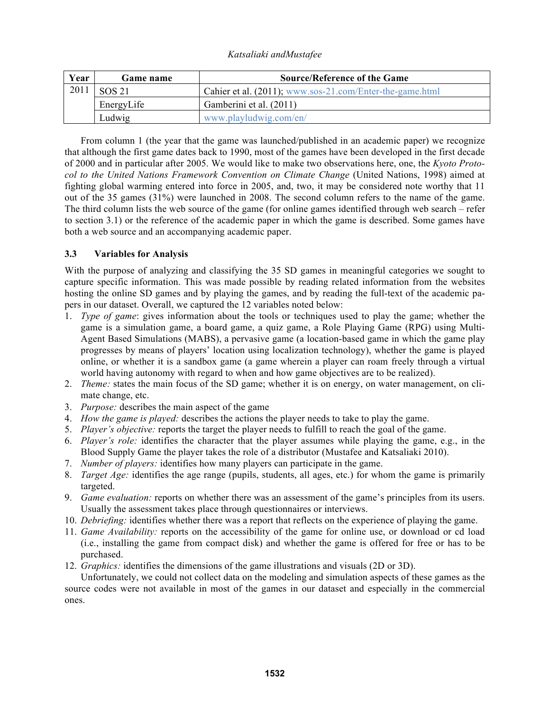| Year | <b>Game name</b> | <b>Source/Reference of the Game</b>                      |  |  |
|------|------------------|----------------------------------------------------------|--|--|
| 2011 | <b>SOS 21</b>    | Cahier et al. (2011); www.sos-21.com/Enter-the-game.html |  |  |
|      | EnergyLife       | Gamberini et al. (2011)                                  |  |  |
|      | Ludwig           | www.playludwig.com/en/                                   |  |  |

 From column 1 (the year that the game was launched/published in an academic paper) we recognize that although the first game dates back to 1990, most of the games have been developed in the first decade of 2000 and in particular after 2005. We would like to make two observations here, one, the *Kyoto Protocol to the United Nations Framework Convention on Climate Change* (United Nations, 1998) aimed at fighting global warming entered into force in 2005, and, two, it may be considered note worthy that 11 out of the 35 games (31%) were launched in 2008. The second column refers to the name of the game. The third column lists the web source of the game (for online games identified through web search – refer to section 3.1) or the reference of the academic paper in which the game is described. Some games have both a web source and an accompanying academic paper.

## **3.3 Variables for Analysis**

With the purpose of analyzing and classifying the 35 SD games in meaningful categories we sought to capture specific information. This was made possible by reading related information from the websites hosting the online SD games and by playing the games, and by reading the full-text of the academic papers in our dataset. Overall, we captured the 12 variables noted below:

- 1. *Type of game*: gives information about the tools or techniques used to play the game; whether the game is a simulation game, a board game, a quiz game, a Role Playing Game (RPG) using Multi-Agent Based Simulations (MABS), a pervasive game (a location-based game in which the game play progresses by means of players' location using localization technology), whether the game is played online, or whether it is a sandbox game (a game wherein a player can roam freely through a virtual world having autonomy with regard to when and how game objectives are to be realized).
- 2. *Theme:* states the main focus of the SD game; whether it is on energy, on water management, on climate change, etc.
- 3. *Purpose:* describes the main aspect of the game
- 4. *How the game is played:* describes the actions the player needs to take to play the game.
- 5. *Player's objective:* reports the target the player needs to fulfill to reach the goal of the game.
- 6. *Player's role:* identifies the character that the player assumes while playing the game, e.g., in the Blood Supply Game the player takes the role of a distributor (Mustafee and Katsaliaki 2010).
- 7. *Number of players:* identifies how many players can participate in the game.
- 8. *Target Age:* identifies the age range (pupils, students, all ages, etc.) for whom the game is primarily targeted.
- 9. *Game evaluation:* reports on whether there was an assessment of the game's principles from its users. Usually the assessment takes place through questionnaires or interviews.
- 10. *Debriefing:* identifies whether there was a report that reflects on the experience of playing the game.
- 11. *Game Availability:* reports on the accessibility of the game for online use, or download or cd load (i.e., installing the game from compact disk) and whether the game is offered for free or has to be purchased.
- 12. *Graphics:* identifies the dimensions of the game illustrations and visuals (2D or 3D).

Unfortunately, we could not collect data on the modeling and simulation aspects of these games as the source codes were not available in most of the games in our dataset and especially in the commercial ones.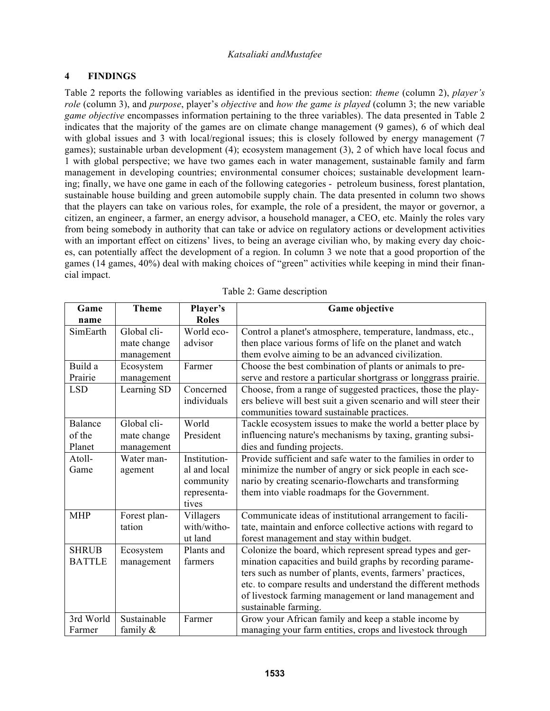# **4 FINDINGS**

Table 2 reports the following variables as identified in the previous section: *theme* (column 2), *player's role* (column 3), and *purpose*, player's *objective* and *how the game is played* (column 3; the new variable *game objective* encompasses information pertaining to the three variables). The data presented in Table 2 indicates that the majority of the games are on climate change management (9 games), 6 of which deal with global issues and 3 with local/regional issues; this is closely followed by energy management (7 games); sustainable urban development (4); ecosystem management (3), 2 of which have local focus and 1 with global perspective; we have two games each in water management, sustainable family and farm management in developing countries; environmental consumer choices; sustainable development learning; finally, we have one game in each of the following categories - petroleum business, forest plantation, sustainable house building and green automobile supply chain. The data presented in column two shows that the players can take on various roles, for example, the role of a president, the mayor or governor, a citizen, an engineer, a farmer, an energy advisor, a household manager, a CEO, etc. Mainly the roles vary from being somebody in authority that can take or advice on regulatory actions or development activities with an important effect on citizens' lives, to being an average civilian who, by making every day choices, can potentially affect the development of a region. In column 3 we note that a good proportion of the games (14 games, 40%) deal with making choices of "green" activities while keeping in mind their financial impact.

| Game          | <b>Theme</b> | Player's     | <b>Game objective</b>                                            |  |
|---------------|--------------|--------------|------------------------------------------------------------------|--|
| name          |              | <b>Roles</b> |                                                                  |  |
| SimEarth      | Global cli-  | World eco-   | Control a planet's atmosphere, temperature, landmass, etc.,      |  |
|               | mate change  | advisor      | then place various forms of life on the planet and watch         |  |
|               | management   |              | them evolve aiming to be an advanced civilization.               |  |
| Build a       | Ecosystem    | Farmer       | Choose the best combination of plants or animals to pre-         |  |
| Prairie       | management   |              | serve and restore a particular shortgrass or longgrass prairie.  |  |
| <b>LSD</b>    | Learning SD  | Concerned    | Choose, from a range of suggested practices, those the play-     |  |
|               |              | individuals  | ers believe will best suit a given scenario and will steer their |  |
|               |              |              | communities toward sustainable practices.                        |  |
| Balance       | Global cli-  | World        | Tackle ecosystem issues to make the world a better place by      |  |
| of the        | mate change  | President    | influencing nature's mechanisms by taxing, granting subsi-       |  |
| Planet        | management   |              | dies and funding projects.                                       |  |
| Atoll-        | Water man-   | Institution- | Provide sufficient and safe water to the families in order to    |  |
| Game          | agement      | al and local | minimize the number of angry or sick people in each sce-         |  |
|               |              | community    | nario by creating scenario-flowcharts and transforming           |  |
|               |              | representa-  | them into viable roadmaps for the Government.                    |  |
|               |              | tives        |                                                                  |  |
| <b>MHP</b>    | Forest plan- | Villagers    | Communicate ideas of institutional arrangement to facili-        |  |
|               | tation       | with/witho-  | tate, maintain and enforce collective actions with regard to     |  |
|               |              | ut land      | forest management and stay within budget.                        |  |
| <b>SHRUB</b>  | Ecosystem    | Plants and   | Colonize the board, which represent spread types and ger-        |  |
| <b>BATTLE</b> | management   | farmers      | mination capacities and build graphs by recording parame-        |  |
|               |              |              | ters such as number of plants, events, farmers' practices,       |  |
|               |              |              | etc. to compare results and understand the different methods     |  |
|               |              |              | of livestock farming management or land management and           |  |
|               |              |              | sustainable farming.                                             |  |
| 3rd World     | Sustainable  | Farmer       | Grow your African family and keep a stable income by             |  |
| Farmer        | family $\&$  |              | managing your farm entities, crops and livestock through         |  |

Table 2: Game description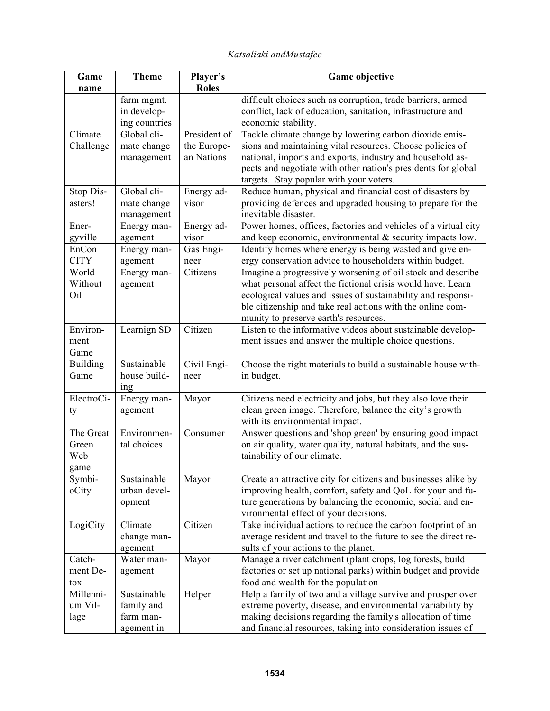| Player's<br><b>Theme</b><br><b>Game objective</b><br>Game                                                                                                                  |  |
|----------------------------------------------------------------------------------------------------------------------------------------------------------------------------|--|
| <b>Roles</b><br>name                                                                                                                                                       |  |
| difficult choices such as corruption, trade barriers, armed<br>farm mgmt.                                                                                                  |  |
| conflict, lack of education, sanitation, infrastructure and<br>in develop-                                                                                                 |  |
| ing countries<br>economic stability.                                                                                                                                       |  |
| Tackle climate change by lowering carbon dioxide emis-<br>Climate<br>Global cli-<br>President of                                                                           |  |
| sions and maintaining vital resources. Choose policies of<br>Challenge<br>mate change<br>the Europe-                                                                       |  |
| national, imports and exports, industry and household as-<br>an Nations<br>management                                                                                      |  |
| pects and negotiate with other nation's presidents for global                                                                                                              |  |
| targets. Stay popular with your voters.<br>Global cli-<br>Reduce human, physical and financial cost of disasters by<br>Stop Dis-<br>Energy ad-                             |  |
| providing defences and upgraded housing to prepare for the<br>asters!<br>mate change<br>visor                                                                              |  |
| inevitable disaster.<br>management                                                                                                                                         |  |
| Power homes, offices, factories and vehicles of a virtual city<br>Ener-<br>Energy man-<br>Energy ad-                                                                       |  |
| and keep economic, environmental $\&$ security impacts low.<br>gyville<br>agement<br>visor                                                                                 |  |
| EnCon<br>Gas Engi-<br>Identify homes where energy is being wasted and give en-<br>Energy man-                                                                              |  |
| <b>CITY</b><br>ergy conservation advice to householders within budget.<br>agement<br>neer                                                                                  |  |
| Imagine a progressively worsening of oil stock and describe<br>World<br>Citizens<br>Energy man-                                                                            |  |
| Without<br>what personal affect the fictional crisis would have. Learn<br>agement                                                                                          |  |
| ecological values and issues of sustainability and responsi-<br>Oil                                                                                                        |  |
| ble citizenship and take real actions with the online com-                                                                                                                 |  |
| munity to preserve earth's resources.                                                                                                                                      |  |
| Citizen<br>Listen to the informative videos about sustainable develop-<br>Environ-<br>Learnign SD                                                                          |  |
| ment issues and answer the multiple choice questions.<br>ment                                                                                                              |  |
| Game                                                                                                                                                                       |  |
| Sustainable<br>Civil Engi-<br>Choose the right materials to build a sustainable house with-<br><b>Building</b>                                                             |  |
| Game<br>house build-<br>in budget.<br>neer                                                                                                                                 |  |
| <sub>1</sub> ng<br>Citizens need electricity and jobs, but they also love their<br>ElectroCi-<br>Energy man-<br>Mayor                                                      |  |
| clean green image. Therefore, balance the city's growth<br>agement<br>ty                                                                                                   |  |
| with its environmental impact.                                                                                                                                             |  |
| Answer questions and 'shop green' by ensuring good impact<br>The Great<br>Environmen-<br>Consumer                                                                          |  |
| on air quality, water quality, natural habitats, and the sus-<br>Green<br>tal choices                                                                                      |  |
| tainability of our climate.<br>Web                                                                                                                                         |  |
| game                                                                                                                                                                       |  |
| Symbi-<br>Sustainable<br>Create an attractive city for citizens and businesses alike by<br>Mayor                                                                           |  |
| urban devel-<br>improving health, comfort, safety and QoL for your and fu-<br>oCity                                                                                        |  |
| ture generations by balancing the economic, social and en-<br>opment                                                                                                       |  |
| vironmental effect of your decisions.                                                                                                                                      |  |
| Take individual actions to reduce the carbon footprint of an<br>LogiCity<br>Climate<br>Citizen                                                                             |  |
| average resident and travel to the future to see the direct re-<br>change man-                                                                                             |  |
| sults of your actions to the planet.<br>agement                                                                                                                            |  |
| Manage a river catchment (plant crops, log forests, build<br>Catch-<br>Water man-<br>Mayor                                                                                 |  |
| factories or set up national parks) within budget and provide<br>ment De-<br>agement                                                                                       |  |
| food and wealth for the population<br>tox                                                                                                                                  |  |
| Millenni-<br>Sustainable<br>Help a family of two and a village survive and prosper over<br>Helper<br>extreme poverty, disease, and environmental variability by<br>um Vil- |  |
| family and<br>making decisions regarding the family's allocation of time<br>farm man-                                                                                      |  |
| lage<br>and financial resources, taking into consideration issues of<br>agement in                                                                                         |  |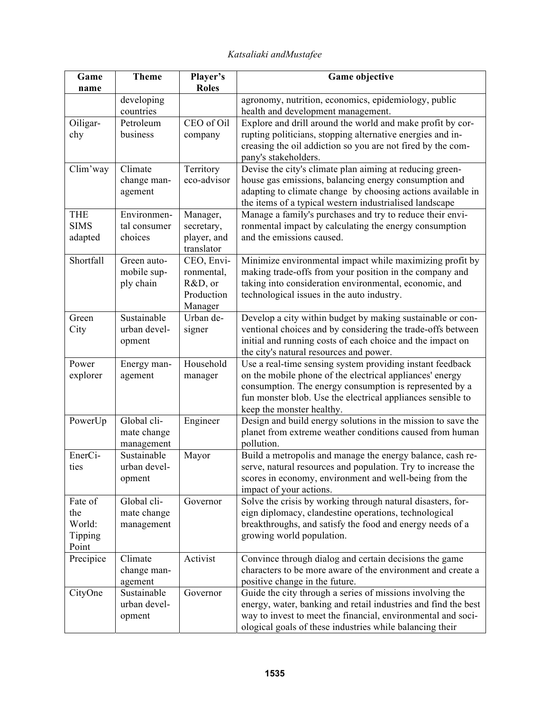| Game<br>name | <b>Theme</b>              | Player's<br><b>Roles</b> | Game objective                                                                                                         |  |  |
|--------------|---------------------------|--------------------------|------------------------------------------------------------------------------------------------------------------------|--|--|
|              | developing                |                          | agronomy, nutrition, economics, epidemiology, public                                                                   |  |  |
|              | countries                 |                          | health and development management.                                                                                     |  |  |
| Oiligar-     | Petroleum                 | CEO of Oil               | Explore and drill around the world and make profit by cor-                                                             |  |  |
| chy          | business                  | company                  | rupting politicians, stopping alternative energies and in-                                                             |  |  |
|              |                           |                          | creasing the oil addiction so you are not fired by the com-                                                            |  |  |
|              |                           |                          | pany's stakeholders.                                                                                                   |  |  |
| Clim'way     | Climate                   | Territory                | Devise the city's climate plan aiming at reducing green-                                                               |  |  |
|              | change man-               | eco-advisor              | house gas emissions, balancing energy consumption and                                                                  |  |  |
|              | agement                   |                          | adapting to climate change by choosing actions available in                                                            |  |  |
|              |                           |                          | the items of a typical western industrialised landscape                                                                |  |  |
| <b>THE</b>   | Environmen-               | Manager,                 | Manage a family's purchases and try to reduce their envi-                                                              |  |  |
| <b>SIMS</b>  | tal consumer              | secretary,               | ronmental impact by calculating the energy consumption                                                                 |  |  |
| adapted      | choices                   | player, and              | and the emissions caused.                                                                                              |  |  |
|              |                           | translator               |                                                                                                                        |  |  |
| Shortfall    | Green auto-               | CEO, Envi-               | Minimize environmental impact while maximizing profit by                                                               |  |  |
|              | mobile sup-               | ronmental,               | making trade-offs from your position in the company and                                                                |  |  |
|              | ply chain                 | R&D, or                  | taking into consideration environmental, economic, and                                                                 |  |  |
|              |                           | Production               | technological issues in the auto industry.                                                                             |  |  |
|              |                           | Manager                  |                                                                                                                        |  |  |
| Green        | Sustainable               | Urban de-                | Develop a city within budget by making sustainable or con-                                                             |  |  |
| City         | urban devel-              | signer                   | ventional choices and by considering the trade-offs between                                                            |  |  |
|              | opment                    |                          | initial and running costs of each choice and the impact on                                                             |  |  |
|              |                           |                          | the city's natural resources and power.                                                                                |  |  |
| Power        | Energy man-               | Household                | Use a real-time sensing system providing instant feedback                                                              |  |  |
| explorer     | agement                   | manager                  | on the mobile phone of the electrical appliances' energy                                                               |  |  |
|              |                           |                          | consumption. The energy consumption is represented by a                                                                |  |  |
|              |                           |                          | fun monster blob. Use the electrical appliances sensible to                                                            |  |  |
|              | Global cli-               |                          | keep the monster healthy.                                                                                              |  |  |
| PowerUp      |                           | Engineer                 | Design and build energy solutions in the mission to save the                                                           |  |  |
|              | mate change<br>management |                          | planet from extreme weather conditions caused from human<br>pollution.                                                 |  |  |
| EnerCi-      | Sustainable               |                          |                                                                                                                        |  |  |
| ties         | urban devel-              | Mayor                    | Build a metropolis and manage the energy balance, cash re-                                                             |  |  |
|              |                           |                          | serve, natural resources and population. Try to increase the<br>scores in economy, environment and well-being from the |  |  |
|              | opment                    |                          | impact of your actions.                                                                                                |  |  |
| Fate of      | Global cli-               | Governor                 | Solve the crisis by working through natural disasters, for-                                                            |  |  |
| the          | mate change               |                          | eign diplomacy, clandestine operations, technological                                                                  |  |  |
| World:       | management                |                          | breakthroughs, and satisfy the food and energy needs of a                                                              |  |  |
| Tipping      |                           |                          | growing world population.                                                                                              |  |  |
| Point        |                           |                          |                                                                                                                        |  |  |
| Precipice    | Climate                   | Activist                 | Convince through dialog and certain decisions the game                                                                 |  |  |
|              | change man-               |                          | characters to be more aware of the environment and create a                                                            |  |  |
|              | agement                   |                          | positive change in the future.                                                                                         |  |  |
| CityOne      | Sustainable               | Governor                 | Guide the city through a series of missions involving the                                                              |  |  |
|              | urban devel-              |                          | energy, water, banking and retail industries and find the best                                                         |  |  |
|              | opment                    |                          | way to invest to meet the financial, environmental and soci-                                                           |  |  |
|              |                           |                          | ological goals of these industries while balancing their                                                               |  |  |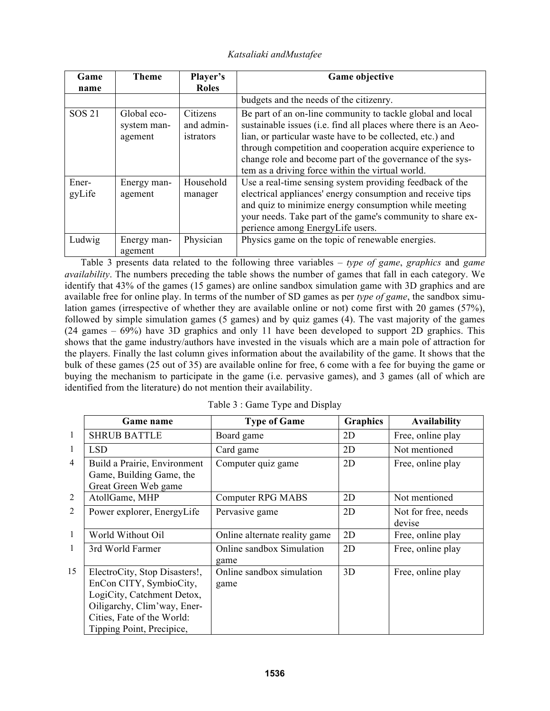| Game<br>name    | Theme                                 | Player's<br><b>Roles</b>                   | Game objective                                                                                                                                                                                                                                                                                                                                                           |
|-----------------|---------------------------------------|--------------------------------------------|--------------------------------------------------------------------------------------------------------------------------------------------------------------------------------------------------------------------------------------------------------------------------------------------------------------------------------------------------------------------------|
|                 |                                       |                                            | budgets and the needs of the citizenry.                                                                                                                                                                                                                                                                                                                                  |
| <b>SOS 21</b>   | Global eco-<br>system man-<br>agement | <b>Citizens</b><br>and admin-<br>istrators | Be part of an on-line community to tackle global and local<br>sustainable issues (i.e. find all places where there is an Aeo-<br>lian, or particular waste have to be collected, etc.) and<br>through competition and cooperation acquire experience to<br>change role and become part of the governance of the sys-<br>tem as a driving force within the virtual world. |
| Ener-<br>gyLife | Energy man-<br>agement                | Household<br>manager                       | Use a real-time sensing system providing feedback of the<br>electrical appliances' energy consumption and receive tips<br>and quiz to minimize energy consumption while meeting<br>your needs. Take part of the game's community to share ex-<br>perience among EnergyLife users.                                                                                        |
| Ludwig          | Energy man-<br>agement                | Physician                                  | Physics game on the topic of renewable energies.                                                                                                                                                                                                                                                                                                                         |

 Table 3 presents data related to the following three variables – *type of game*, *graphics* and *game availability*. The numbers preceding the table shows the number of games that fall in each category. We identify that 43% of the games (15 games) are online sandbox simulation game with 3D graphics and are available free for online play. In terms of the number of SD games as per *type of game*, the sandbox simulation games (irrespective of whether they are available online or not) come first with 20 games (57%), followed by simple simulation games (5 games) and by quiz games (4). The vast majority of the games (24 games – 69%) have 3D graphics and only 11 have been developed to support 2D graphics. This shows that the game industry/authors have invested in the visuals which are a main pole of attraction for the players. Finally the last column gives information about the availability of the game. It shows that the bulk of these games (25 out of 35) are available online for free, 6 come with a fee for buying the game or buying the mechanism to participate in the game (i.e. pervasive games), and 3 games (all of which are identified from the literature) do not mention their availability.

|                | Game name                                                                                                                                                                        | <b>Type of Game</b>               | <b>Graphics</b> | <b>Availability</b>           |
|----------------|----------------------------------------------------------------------------------------------------------------------------------------------------------------------------------|-----------------------------------|-----------------|-------------------------------|
| $\mathbf{1}$   | <b>SHRUB BATTLE</b>                                                                                                                                                              | Board game                        | 2D              | Free, online play             |
| $\mathbf{1}$   | <b>LSD</b>                                                                                                                                                                       | Card game                         | 2D              | Not mentioned                 |
| $\overline{4}$ | Build a Prairie, Environment<br>Game, Building Game, the<br>Great Green Web game                                                                                                 | Computer quiz game                | 2D              | Free, online play             |
| $\overline{2}$ | AtollGame, MHP                                                                                                                                                                   | <b>Computer RPG MABS</b>          | 2D              | Not mentioned                 |
| $\overline{2}$ | Power explorer, EnergyLife                                                                                                                                                       | Pervasive game                    | 2D              | Not for free, needs<br>devise |
| -1             | World Without Oil                                                                                                                                                                | Online alternate reality game     | 2D              | Free, online play             |
| 1              | 3rd World Farmer                                                                                                                                                                 | Online sandbox Simulation<br>game | 2D              | Free, online play             |
| 15             | ElectroCity, Stop Disasters!,<br>EnCon CITY, SymbioCity,<br>LogiCity, Catchment Detox,<br>Oiligarchy, Clim'way, Ener-<br>Cities, Fate of the World:<br>Tipping Point, Precipice, | Online sandbox simulation<br>game | 3D              | Free, online play             |

Table 3 : Game Type and Display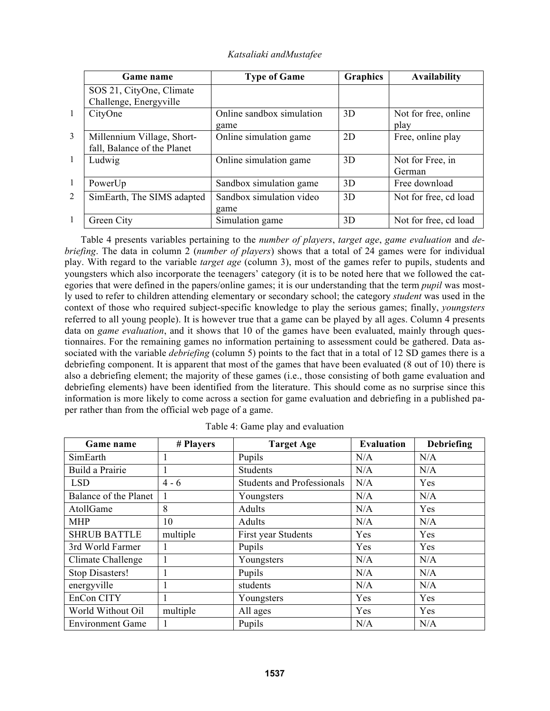|                | Game name                   | <b>Type of Game</b>       | <b>Graphics</b> | <b>Availability</b>   |
|----------------|-----------------------------|---------------------------|-----------------|-----------------------|
|                | SOS 21, CityOne, Climate    |                           |                 |                       |
|                | Challenge, Energyville      |                           |                 |                       |
| -1             | CityOne                     | Online sandbox simulation | 3D              | Not for free, online  |
|                |                             | game                      |                 | play                  |
| 3              | Millennium Village, Short-  | Online simulation game    | 2D              | Free, online play     |
|                | fall, Balance of the Planet |                           |                 |                       |
| -1             | Ludwig                      | Online simulation game    | 3D              | Not for Free, in      |
|                |                             |                           |                 | German                |
| $\overline{1}$ | PowerUp                     | Sandbox simulation game   | 3D              | Free download         |
| 2              | SimEarth, The SIMS adapted  | Sandbox simulation video  | 3D              | Not for free, cd load |
|                |                             | game                      |                 |                       |
| -1             | Green City                  | Simulation game           | 3D              | Not for free, cd load |

*Katsaliaki andMustafee* 

 Table 4 presents variables pertaining to the *number of players*, *target age*, *game evaluation* and *debriefing*. The data in column 2 (*number of players*) shows that a total of 24 games were for individual play. With regard to the variable *target age* (column 3), most of the games refer to pupils, students and youngsters which also incorporate the teenagers' category (it is to be noted here that we followed the categories that were defined in the papers/online games; it is our understanding that the term *pupil* was mostly used to refer to children attending elementary or secondary school; the category *student* was used in the context of those who required subject-specific knowledge to play the serious games; finally, *youngsters* referred to all young people). It is however true that a game can be played by all ages. Column 4 presents data on *game evaluation*, and it shows that 10 of the games have been evaluated, mainly through questionnaires. For the remaining games no information pertaining to assessment could be gathered. Data associated with the variable *debriefing* (column 5) points to the fact that in a total of 12 SD games there is a debriefing component. It is apparent that most of the games that have been evaluated (8 out of 10) there is also a debriefing element; the majority of these games (i.e., those consisting of both game evaluation and debriefing elements) have been identified from the literature. This should come as no surprise since this information is more likely to come across a section for game evaluation and debriefing in a published paper rather than from the official web page of a game.

| Game name               | # Players | <b>Target Age</b>                 | <b>Evaluation</b> | <b>Debriefing</b> |
|-------------------------|-----------|-----------------------------------|-------------------|-------------------|
| SimEarth                |           | Pupils                            | N/A               | N/A               |
| Build a Prairie         |           | <b>Students</b>                   | N/A               | N/A               |
| <b>LSD</b>              | $4 - 6$   | <b>Students and Professionals</b> | N/A               | Yes               |
| Balance of the Planet   |           | Youngsters                        | N/A               | N/A               |
| AtollGame               | 8         | Adults                            | N/A               | Yes               |
| <b>MHP</b>              | 10        | Adults                            | N/A               | N/A               |
| <b>SHRUB BATTLE</b>     | multiple  | First year Students               | Yes               | Yes               |
| 3rd World Farmer        |           | Pupils                            | Yes               | Yes               |
| Climate Challenge       |           | Youngsters                        | N/A               | N/A               |
| Stop Disasters!         |           | Pupils                            | N/A               | N/A               |
| energyville             |           | students                          | N/A               | N/A               |
| EnCon CITY              |           | Youngsters                        | Yes               | Yes               |
| World Without Oil       | multiple  | All ages                          | Yes               | Yes               |
| <b>Environment Game</b> |           | Pupils                            | N/A               | N/A               |

Table 4: Game play and evaluation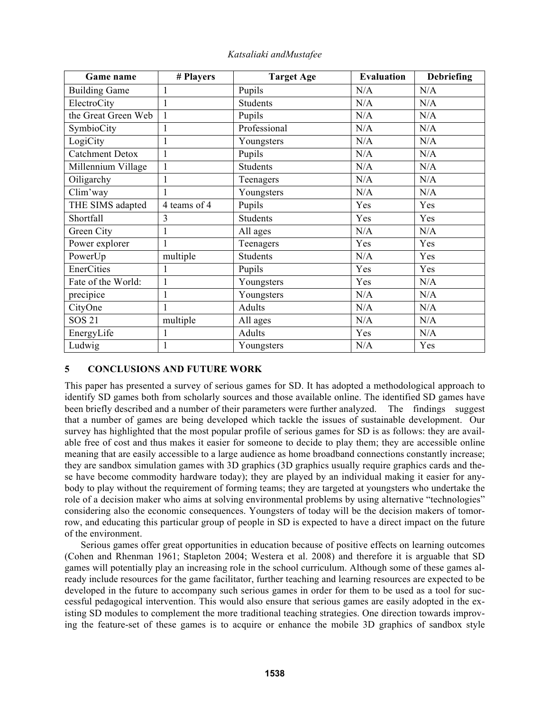| Game name              | # Players    | <b>Target Age</b> | <b>Evaluation</b> | <b>Debriefing</b> |
|------------------------|--------------|-------------------|-------------------|-------------------|
| <b>Building Game</b>   | 1            | Pupils            | N/A               | N/A               |
| ElectroCity            | 1            | <b>Students</b>   | N/A               | N/A               |
| the Great Green Web    | 1            | Pupils            | N/A               | N/A               |
| SymbioCity             | 1            | Professional      | N/A               | N/A               |
| LogiCity               | 1            | Youngsters        | N/A               | N/A               |
| <b>Catchment Detox</b> | 1            | Pupils            | N/A               | N/A               |
| Millennium Village     | $\mathbf{1}$ | <b>Students</b>   | N/A               | N/A               |
| Oiligarchy             | 1            | Teenagers         | N/A               | N/A               |
| Clim'way               | 1            | Youngsters        | N/A               | N/A               |
| THE SIMS adapted       | 4 teams of 4 | Pupils            | Yes               | Yes               |
| Shortfall              | 3            | <b>Students</b>   | Yes               | Yes               |
| Green City             | 1            | All ages          | N/A               | N/A               |
| Power explorer         | $\mathbf{1}$ | Teenagers         | Yes               | Yes               |
| PowerUp                | multiple     | <b>Students</b>   | N/A               | Yes               |
| EnerCities             | 1            | Pupils            | Yes               | Yes               |
| Fate of the World:     | $\mathbf{1}$ | Youngsters        | Yes               | N/A               |
| precipice              | $\mathbf{1}$ | Youngsters        | N/A               | N/A               |
| CityOne                | 1            | <b>Adults</b>     | N/A               | N/A               |
| <b>SOS 21</b>          | multiple     | All ages          | N/A               | N/A               |
| EnergyLife             |              | Adults            | Yes               | N/A               |
| Ludwig                 | 1            | Youngsters        | N/A               | Yes               |

# **5 CONCLUSIONS AND FUTURE WORK**

This paper has presented a survey of serious games for SD. It has adopted a methodological approach to identify SD games both from scholarly sources and those available online. The identified SD games have been briefly described and a number of their parameters were further analyzed. The findings suggest that a number of games are being developed which tackle the issues of sustainable development. Our survey has highlighted that the most popular profile of serious games for SD is as follows: they are available free of cost and thus makes it easier for someone to decide to play them; they are accessible online meaning that are easily accessible to a large audience as home broadband connections constantly increase; they are sandbox simulation games with 3D graphics (3D graphics usually require graphics cards and these have become commodity hardware today); they are played by an individual making it easier for anybody to play without the requirement of forming teams; they are targeted at youngsters who undertake the role of a decision maker who aims at solving environmental problems by using alternative "technologies" considering also the economic consequences. Youngsters of today will be the decision makers of tomorrow, and educating this particular group of people in SD is expected to have a direct impact on the future of the environment.

 Serious games offer great opportunities in education because of positive effects on learning outcomes (Cohen and Rhenman 1961; Stapleton 2004; Westera et al. 2008) and therefore it is arguable that SD games will potentially play an increasing role in the school curriculum. Although some of these games already include resources for the game facilitator, further teaching and learning resources are expected to be developed in the future to accompany such serious games in order for them to be used as a tool for successful pedagogical intervention. This would also ensure that serious games are easily adopted in the existing SD modules to complement the more traditional teaching strategies. One direction towards improving the feature-set of these games is to acquire or enhance the mobile 3D graphics of sandbox style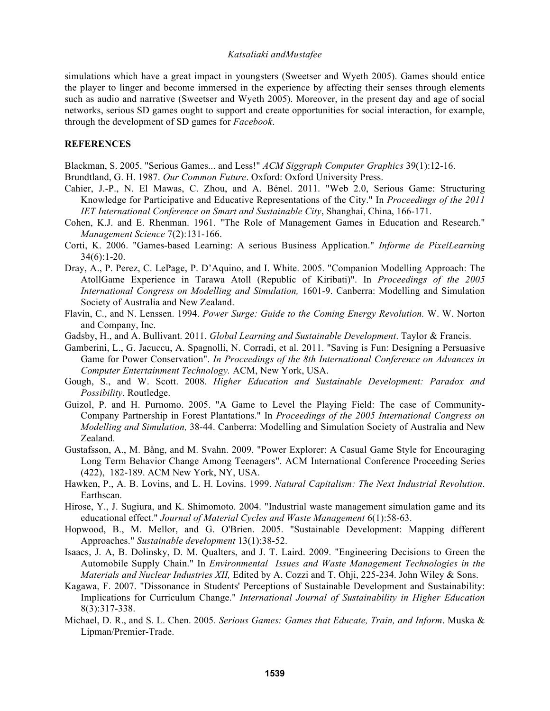simulations which have a great impact in youngsters (Sweetser and Wyeth 2005). Games should entice the player to linger and become immersed in the experience by affecting their senses through elements such as audio and narrative (Sweetser and Wyeth 2005). Moreover, in the present day and age of social networks, serious SD games ought to support and create opportunities for social interaction, for example, through the development of SD games for *Facebook*.

## **REFERENCES**

Blackman, S. 2005. "Serious Games... and Less!" *ACM Siggraph Computer Graphics* 39(1):12-16.

- Brundtland, G. H. 1987. *Our Common Future*. Oxford: Oxford University Press.
- Cahier, J.-P., N. El Mawas, C. Zhou, and A. Bénel. 2011. "Web 2.0, Serious Game: Structuring Knowledge for Participative and Educative Representations of the City." In *Proceedings of the 2011 IET International Conference on Smart and Sustainable City*, Shanghai, China, 166-171.
- Cohen, K.J. and E. Rhenman. 1961. "The Role of Management Games in Education and Research." *Management Science* 7(2):131-166.
- Corti, K. 2006. "Games-based Learning: A serious Business Application." *Informe de PixelLearning*  $34(6):1-20.$
- Dray, A., P. Perez, C. LePage, P. D'Aquino, and I. White. 2005. "Companion Modelling Approach: The AtollGame Experience in Tarawa Atoll (Republic of Kiribati)". In *Proceedings of the 2005 International Congress on Modelling and Simulation,* 1601-9. Canberra: Modelling and Simulation Society of Australia and New Zealand.
- Flavin, C., and N. Lenssen. 1994. *Power Surge: Guide to the Coming Energy Revolution.* W. W. Norton and Company, Inc.
- Gadsby, H., and A. Bullivant. 2011. *Global Learning and Sustainable Development*. Taylor & Francis.
- Gamberini, L., G. Jacuccu, A. Spagnolli, N. Corradi, et al. 2011. "Saving is Fun: Designing a Persuasive Game for Power Conservation". *In Proceedings of the 8th International Conference on Advances in Computer Entertainment Technology.* ACM, New York, USA.
- Gough, S., and W. Scott. 2008. *Higher Education and Sustainable Development: Paradox and Possibility*. Routledge.
- Guizol, P. and H. Purnomo. 2005. "A Game to Level the Playing Field: The case of Community-Company Partnership in Forest Plantations." In *Proceedings of the 2005 International Congress on Modelling and Simulation,* 38-44. Canberra: Modelling and Simulation Society of Australia and New Zealand.
- Gustafsson, A., M. Bång, and M. Svahn. 2009. "Power Explorer: A Casual Game Style for Encouraging Long Term Behavior Change Among Teenagers". ACM International Conference Proceeding Series (422), 182-189. ACM New York, NY, USA.
- Hawken, P., A. B. Lovins, and L. H. Lovins. 1999. *Natural Capitalism: The Next Industrial Revolution*. Earthscan.
- Hirose, Y., J. Sugiura, and K. Shimomoto. 2004. "Industrial waste management simulation game and its educational effect." *Journal of Material Cycles and Waste Management* 6(1):58-63.
- Hopwood, B., M. Mellor, and G. O'Brien. 2005. "Sustainable Development: Mapping different Approaches." *Sustainable development* 13(1):38-52.
- Isaacs, J. A, B. Dolinsky, D. M. Qualters, and J. T. Laird. 2009. "Engineering Decisions to Green the Automobile Supply Chain." In *Environmental Issues and Waste Management Technologies in the Materials and Nuclear Industries XII,* Edited by A. Cozzi and T. Ohji, 225-234. John Wiley & Sons.
- Kagawa, F. 2007. "Dissonance in Students' Perceptions of Sustainable Development and Sustainability: Implications for Curriculum Change." *International Journal of Sustainability in Higher Education* 8(3):317-338.
- Michael, D. R., and S. L. Chen. 2005. *Serious Games: Games that Educate, Train, and Inform*. Muska & Lipman/Premier-Trade.